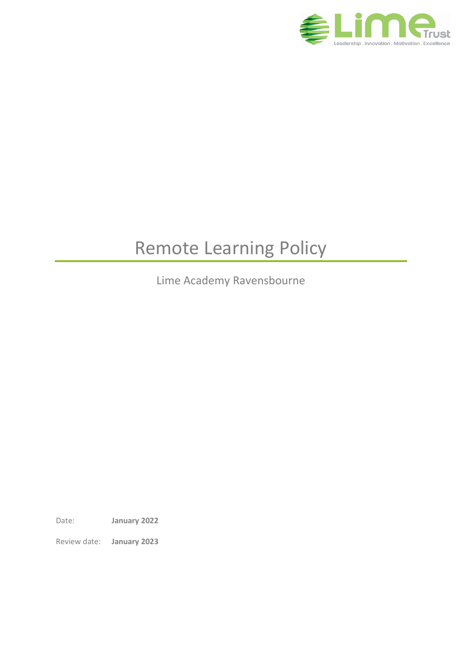

# Remote Learning Policy

Lime Academy Ravensbourne

Date: **January 2022**

Review date: **January 2023**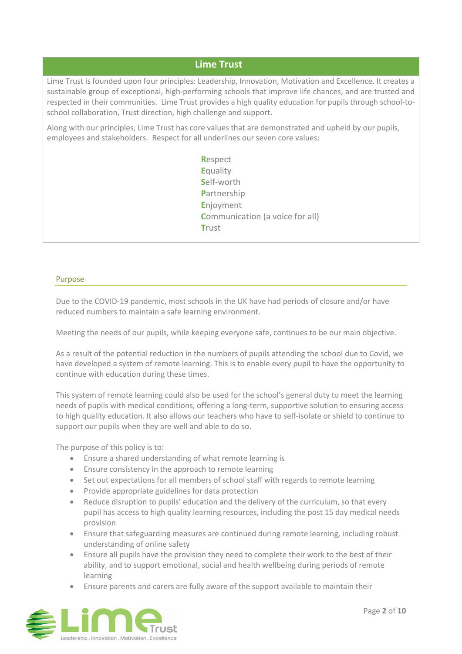# **Lime Trust**

Lime Trust is founded upon four principles: Leadership, Innovation, Motivation and Excellence. It creates a sustainable group of exceptional, high-performing schools that improve life chances, and are trusted and respected in their communities. Lime Trust provides a high quality education for pupils through school-toschool collaboration, Trust direction, high challenge and support.

Along with our principles, Lime Trust has core values that are demonstrated and upheld by our pupils, employees and stakeholders. Respect for all underlines our seven core values:

> **R**espect **E**quality **S**elf-worth **P**artnership **E**njoyment **Communication (a voice for all) T**rust

#### Purpose

Due to the COVID-19 pandemic, most schools in the UK have had periods of closure and/or have reduced numbers to maintain a safe learning environment.

Meeting the needs of our pupils, while keeping everyone safe, continues to be our main objective.

As a result of the potential reduction in the numbers of pupils attending the school due to Covid, we have developed a system of remote learning. This is to enable every pupil to have the opportunity to continue with education during these times.

This system of remote learning could also be used for the school's general duty to meet the learning needs of pupils with medical conditions, offering a long-term, supportive solution to ensuring access to high quality education. It also allows our teachers who have to self-isolate or shield to continue to support our pupils when they are well and able to do so.

The purpose of this policy is to:

- Ensure a shared understanding of what remote learning is
- Ensure consistency in the approach to remote learning
- Set out expectations for all members of school staff with regards to remote learning
- Provide appropriate guidelines for data protection
- Reduce disruption to pupils' education and the delivery of the curriculum, so that every pupil has access to high quality learning resources, including the post 15 day medical needs provision
- Ensure that safeguarding measures are continued during remote learning, including robust understanding of online safety
- Ensure all pupils have the provision they need to complete their work to the best of their ability, and to support emotional, social and health wellbeing during periods of remote learning
- Ensure parents and carers are fully aware of the support available to maintain their

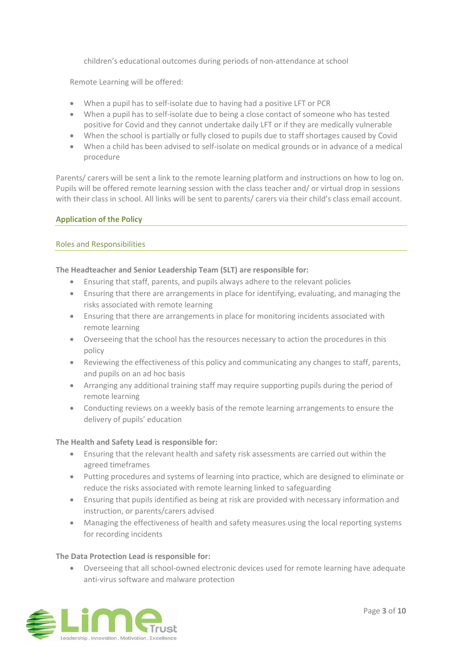children's educational outcomes during periods of non-attendance at school

Remote Learning will be offered:

- When a pupil has to self-isolate due to having had a positive LFT or PCR
- When a pupil has to self-isolate due to being a close contact of someone who has tested positive for Covid and they cannot undertake daily LFT or if they are medically vulnerable
- When the school is partially or fully closed to pupils due to staff shortages caused by Covid
- When a child has been advised to self-isolate on medical grounds or in advance of a medical procedure

Parents/ carers will be sent a link to the remote learning platform and instructions on how to log on. Pupils will be offered remote learning session with the class teacher and/ or virtual drop in sessions with their class in school. All links will be sent to parents/ carers via their child's class email account.

## **Application of the Policy**

## Roles and Responsibilities

## **The Headteacher and Senior Leadership Team (SLT) are responsible for:**

- Ensuring that staff, parents, and pupils always adhere to the relevant policies
- Ensuring that there are arrangements in place for identifying, evaluating, and managing the risks associated with remote learning
- Ensuring that there are arrangements in place for monitoring incidents associated with remote learning
- Overseeing that the school has the resources necessary to action the procedures in this policy
- Reviewing the effectiveness of this policy and communicating any changes to staff, parents, and pupils on an ad hoc basis
- Arranging any additional training staff may require supporting pupils during the period of remote learning
- Conducting reviews on a weekly basis of the remote learning arrangements to ensure the delivery of pupils' education

## **The Health and Safety Lead is responsible for:**

- Ensuring that the relevant health and safety risk assessments are carried out within the agreed timeframes
- Putting procedures and systems of learning into practice, which are designed to eliminate or reduce the risks associated with remote learning linked to safeguarding
- Ensuring that pupils identified as being at risk are provided with necessary information and instruction, or parents/carers advised
- Managing the effectiveness of health and safety measures using the local reporting systems for recording incidents

## **The Data Protection Lead is responsible for:**

• Overseeing that all school-owned electronic devices used for remote learning have adequate anti-virus software and malware protection

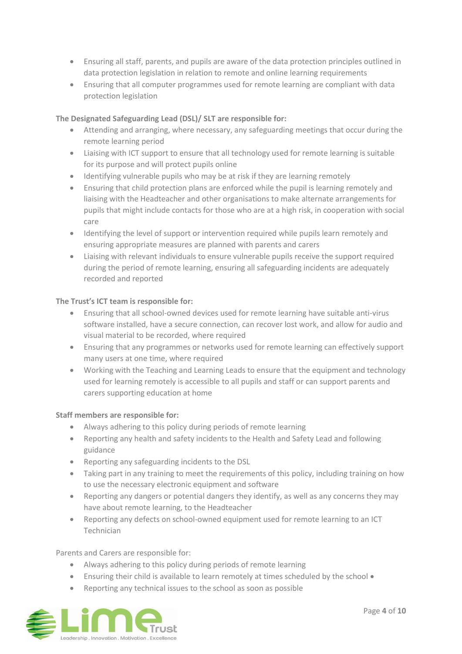- Ensuring all staff, parents, and pupils are aware of the data protection principles outlined in data protection legislation in relation to remote and online learning requirements
- Ensuring that all computer programmes used for remote learning are compliant with data protection legislation

## **The Designated Safeguarding Lead (DSL)/ SLT are responsible for:**

- Attending and arranging, where necessary, any safeguarding meetings that occur during the remote learning period
- Liaising with ICT support to ensure that all technology used for remote learning is suitable for its purpose and will protect pupils online
- Identifying vulnerable pupils who may be at risk if they are learning remotely
- Ensuring that child protection plans are enforced while the pupil is learning remotely and liaising with the Headteacher and other organisations to make alternate arrangements for pupils that might include contacts for those who are at a high risk, in cooperation with social care
- Identifying the level of support or intervention required while pupils learn remotely and ensuring appropriate measures are planned with parents and carers
- Liaising with relevant individuals to ensure vulnerable pupils receive the support required during the period of remote learning, ensuring all safeguarding incidents are adequately recorded and reported

## **The Trust's ICT team is responsible for:**

- Ensuring that all school-owned devices used for remote learning have suitable anti-virus software installed, have a secure connection, can recover lost work, and allow for audio and visual material to be recorded, where required
- Ensuring that any programmes or networks used for remote learning can effectively support many users at one time, where required
- Working with the Teaching and Learning Leads to ensure that the equipment and technology used for learning remotely is accessible to all pupils and staff or can support parents and carers supporting education at home

## **Staff members are responsible for:**

- Always adhering to this policy during periods of remote learning
- Reporting any health and safety incidents to the Health and Safety Lead and following guidance
- Reporting any safeguarding incidents to the DSL
- Taking part in any training to meet the requirements of this policy, including training on how to use the necessary electronic equipment and software
- Reporting any dangers or potential dangers they identify, as well as any concerns they may have about remote learning, to the Headteacher
- Reporting any defects on school-owned equipment used for remote learning to an ICT Technician

Parents and Carers are responsible for:

- Always adhering to this policy during periods of remote learning
- Ensuring their child is available to learn remotely at times scheduled by the school •
- Reporting any technical issues to the school as soon as possible

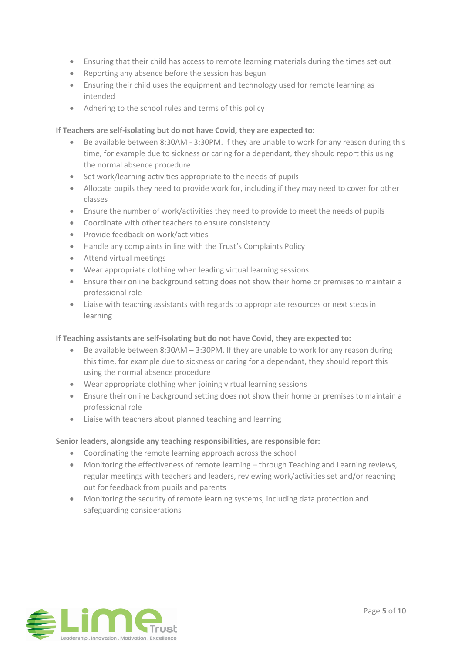- Ensuring that their child has access to remote learning materials during the times set out
- Reporting any absence before the session has begun
- Ensuring their child uses the equipment and technology used for remote learning as intended
- Adhering to the school rules and terms of this policy

## **If Teachers are self-isolating but do not have Covid, they are expected to:**

- Be available between 8:30AM 3:30PM. If they are unable to work for any reason during this time, for example due to sickness or caring for a dependant, they should report this using the normal absence procedure
- Set work/learning activities appropriate to the needs of pupils
- Allocate pupils they need to provide work for, including if they may need to cover for other classes
- Ensure the number of work/activities they need to provide to meet the needs of pupils
- Coordinate with other teachers to ensure consistency
- Provide feedback on work/activities
- Handle any complaints in line with the Trust's Complaints Policy
- Attend virtual meetings
- Wear appropriate clothing when leading virtual learning sessions
- Ensure their online background setting does not show their home or premises to maintain a professional role
- Liaise with teaching assistants with regards to appropriate resources or next steps in learning

# **If Teaching assistants are self-isolating but do not have Covid, they are expected to:**

- Be available between 8:30AM 3:30PM. If they are unable to work for any reason during this time, for example due to sickness or caring for a dependant, they should report this using the normal absence procedure
- Wear appropriate clothing when joining virtual learning sessions
- Ensure their online background setting does not show their home or premises to maintain a professional role
- Liaise with teachers about planned teaching and learning

## **Senior leaders, alongside any teaching responsibilities, are responsible for:**

- Coordinating the remote learning approach across the school
- Monitoring the effectiveness of remote learning through Teaching and Learning reviews, regular meetings with teachers and leaders, reviewing work/activities set and/or reaching out for feedback from pupils and parents
- Monitoring the security of remote learning systems, including data protection and safeguarding considerations

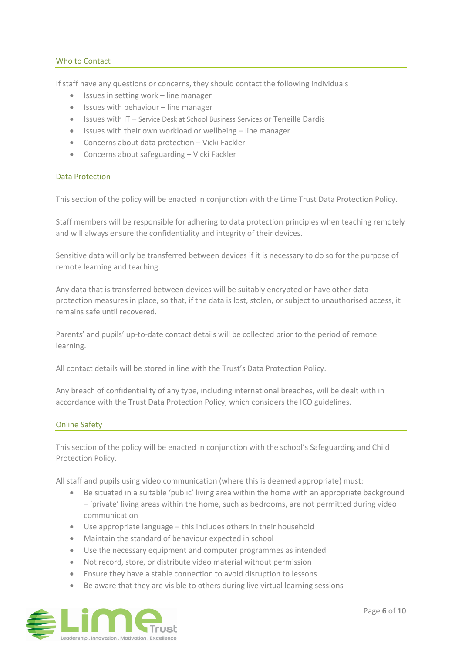## Who to Contact

If staff have any questions or concerns, they should contact the following individuals

- Issues in setting work line manager
- Issues with behaviour line manager
- Issues with IT Service Desk at School Business Services or Teneille Dardis
- Issues with their own workload or wellbeing line manager
- Concerns about data protection Vicki Fackler
- Concerns about safeguarding Vicki Fackler

## Data Protection

This section of the policy will be enacted in conjunction with the Lime Trust Data Protection Policy.

Staff members will be responsible for adhering to data protection principles when teaching remotely and will always ensure the confidentiality and integrity of their devices.

Sensitive data will only be transferred between devices if it is necessary to do so for the purpose of remote learning and teaching.

Any data that is transferred between devices will be suitably encrypted or have other data protection measures in place, so that, if the data is lost, stolen, or subject to unauthorised access, it remains safe until recovered.

Parents' and pupils' up-to-date contact details will be collected prior to the period of remote learning.

All contact details will be stored in line with the Trust's Data Protection Policy.

Any breach of confidentiality of any type, including international breaches, will be dealt with in accordance with the Trust Data Protection Policy, which considers the ICO guidelines.

## Online Safety

This section of the policy will be enacted in conjunction with the school's Safeguarding and Child Protection Policy.

All staff and pupils using video communication (where this is deemed appropriate) must:

- Be situated in a suitable 'public' living area within the home with an appropriate background – 'private' living areas within the home, such as bedrooms, are not permitted during video communication
- Use appropriate language this includes others in their household
- Maintain the standard of behaviour expected in school
- Use the necessary equipment and computer programmes as intended
- Not record, store, or distribute video material without permission
- Ensure they have a stable connection to avoid disruption to lessons
- Be aware that they are visible to others during live virtual learning sessions

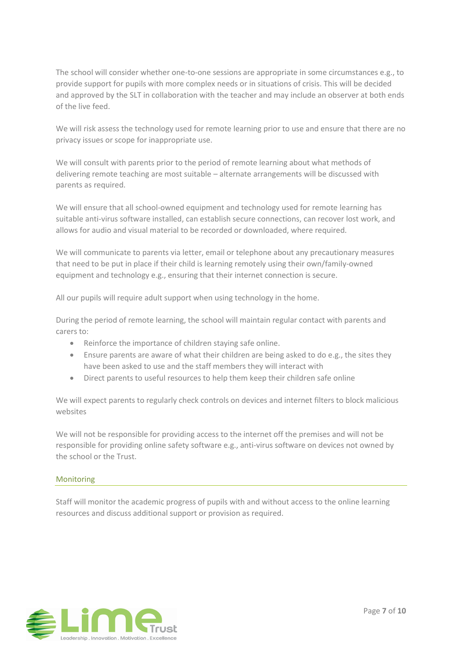The school will consider whether one-to-one sessions are appropriate in some circumstances e.g., to provide support for pupils with more complex needs or in situations of crisis. This will be decided and approved by the SLT in collaboration with the teacher and may include an observer at both ends of the live feed.

We will risk assess the technology used for remote learning prior to use and ensure that there are no privacy issues or scope for inappropriate use.

We will consult with parents prior to the period of remote learning about what methods of delivering remote teaching are most suitable – alternate arrangements will be discussed with parents as required.

We will ensure that all school-owned equipment and technology used for remote learning has suitable anti-virus software installed, can establish secure connections, can recover lost work, and allows for audio and visual material to be recorded or downloaded, where required.

We will communicate to parents via letter, email or telephone about any precautionary measures that need to be put in place if their child is learning remotely using their own/family-owned equipment and technology e.g., ensuring that their internet connection is secure.

All our pupils will require adult support when using technology in the home.

During the period of remote learning, the school will maintain regular contact with parents and carers to:

- Reinforce the importance of children staying safe online.
- Ensure parents are aware of what their children are being asked to do e.g., the sites they have been asked to use and the staff members they will interact with
- Direct parents to useful resources to help them keep their children safe online

We will expect parents to regularly check controls on devices and internet filters to block malicious websites

We will not be responsible for providing access to the internet off the premises and will not be responsible for providing online safety software e.g., anti-virus software on devices not owned by the school or the Trust.

## Monitoring

Staff will monitor the academic progress of pupils with and without access to the online learning resources and discuss additional support or provision as required.

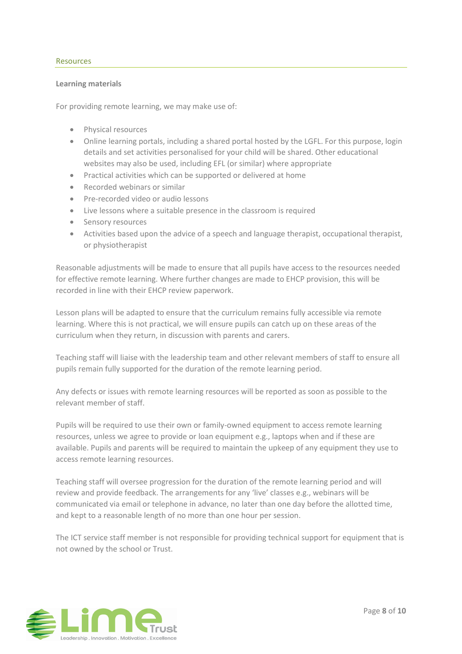#### Resources

#### **Learning materials**

For providing remote learning, we may make use of:

- Physical resources
- Online learning portals, including a shared portal hosted by the LGFL. For this purpose, login details and set activities personalised for your child will be shared. Other educational websites may also be used, including EFL (or similar) where appropriate
- Practical activities which can be supported or delivered at home
- Recorded webinars or similar
- Pre-recorded video or audio lessons
- Live lessons where a suitable presence in the classroom is required
- Sensory resources
- Activities based upon the advice of a speech and language therapist, occupational therapist, or physiotherapist

Reasonable adjustments will be made to ensure that all pupils have access to the resources needed for effective remote learning. Where further changes are made to EHCP provision, this will be recorded in line with their EHCP review paperwork.

Lesson plans will be adapted to ensure that the curriculum remains fully accessible via remote learning. Where this is not practical, we will ensure pupils can catch up on these areas of the curriculum when they return, in discussion with parents and carers.

Teaching staff will liaise with the leadership team and other relevant members of staff to ensure all pupils remain fully supported for the duration of the remote learning period.

Any defects or issues with remote learning resources will be reported as soon as possible to the relevant member of staff.

Pupils will be required to use their own or family-owned equipment to access remote learning resources, unless we agree to provide or loan equipment e.g., laptops when and if these are available. Pupils and parents will be required to maintain the upkeep of any equipment they use to access remote learning resources.

Teaching staff will oversee progression for the duration of the remote learning period and will review and provide feedback. The arrangements for any 'live' classes e.g., webinars will be communicated via email or telephone in advance, no later than one day before the allotted time, and kept to a reasonable length of no more than one hour per session.

The ICT service staff member is not responsible for providing technical support for equipment that is not owned by the school or Trust.

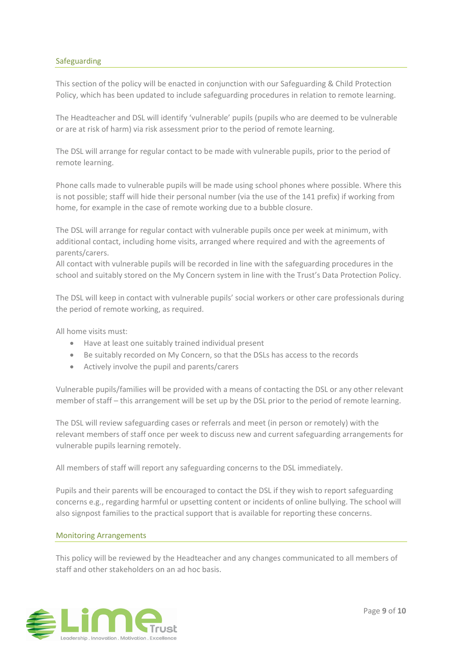## Safeguarding

This section of the policy will be enacted in conjunction with our Safeguarding & Child Protection Policy, which has been updated to include safeguarding procedures in relation to remote learning.

The Headteacher and DSL will identify 'vulnerable' pupils (pupils who are deemed to be vulnerable or are at risk of harm) via risk assessment prior to the period of remote learning.

The DSL will arrange for regular contact to be made with vulnerable pupils, prior to the period of remote learning.

Phone calls made to vulnerable pupils will be made using school phones where possible. Where this is not possible; staff will hide their personal number (via the use of the 141 prefix) if working from home, for example in the case of remote working due to a bubble closure.

The DSL will arrange for regular contact with vulnerable pupils once per week at minimum, with additional contact, including home visits, arranged where required and with the agreements of parents/carers.

All contact with vulnerable pupils will be recorded in line with the safeguarding procedures in the school and suitably stored on the My Concern system in line with the Trust's Data Protection Policy.

The DSL will keep in contact with vulnerable pupils' social workers or other care professionals during the period of remote working, as required.

All home visits must:

- Have at least one suitably trained individual present
- Be suitably recorded on My Concern, so that the DSLs has access to the records
- Actively involve the pupil and parents/carers

Vulnerable pupils/families will be provided with a means of contacting the DSL or any other relevant member of staff – this arrangement will be set up by the DSL prior to the period of remote learning.

The DSL will review safeguarding cases or referrals and meet (in person or remotely) with the relevant members of staff once per week to discuss new and current safeguarding arrangements for vulnerable pupils learning remotely.

All members of staff will report any safeguarding concerns to the DSL immediately.

Pupils and their parents will be encouraged to contact the DSL if they wish to report safeguarding concerns e.g., regarding harmful or upsetting content or incidents of online bullying. The school will also signpost families to the practical support that is available for reporting these concerns.

#### Monitoring Arrangements

This policy will be reviewed by the Headteacher and any changes communicated to all members of staff and other stakeholders on an ad hoc basis.